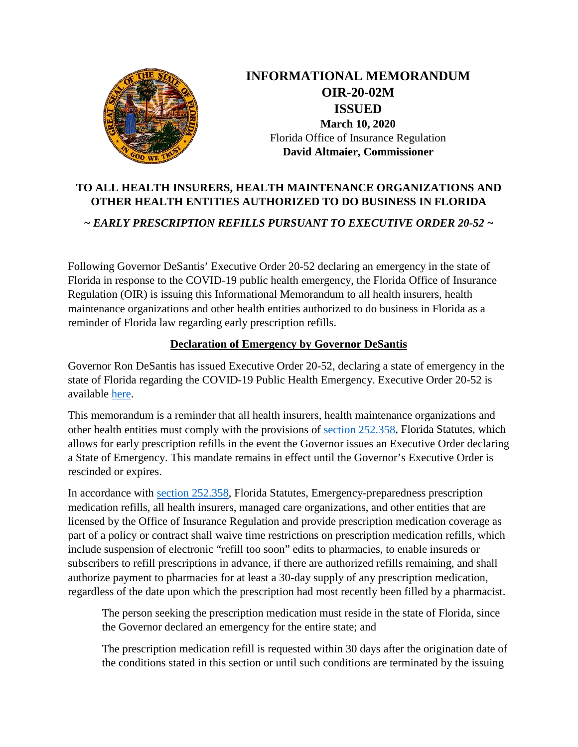

**INFORMATIONAL MEMORANDUM OIR-20-02M ISSUED March 10, 2020** Florida Office of Insurance Regulation **David Altmaier, Commissioner**

## **TO ALL HEALTH INSURERS, HEALTH MAINTENANCE ORGANIZATIONS AND OTHER HEALTH ENTITIES AUTHORIZED TO DO BUSINESS IN FLORIDA**

*~ EARLY PRESCRIPTION REFILLS PURSUANT TO EXECUTIVE ORDER 20-52 ~*

Following Governor DeSantis' Executive Order 20-52 declaring an emergency in the state of Florida in response to the COVID-19 public health emergency, the Florida Office of Insurance Regulation (OIR) is issuing this Informational Memorandum to all health insurers, health maintenance organizations and other health entities authorized to do business in Florida as a reminder of Florida law regarding early prescription refills.

## **Declaration of Emergency by Governor DeSantis**

Governor Ron DeSantis has issued Executive Order 20-52, declaring a state of emergency in the state of Florida regarding the COVID-19 Public Health Emergency. Executive Order 20-52 is available [here.](https://www.flgov.com/wp-content/uploads/2020/03/EO-20-52.pdf)

This memorandum is a reminder that all health insurers, health maintenance organizations and other health entities must comply with the provisions of [section 252.358,](http://www.leg.state.fl.us/statutes/index.cfm?App_mode=Display_Statute&URL=0200-0299/0252/Sections/0252.358.html) Florida Statutes, which allows for early prescription refills in the event the Governor issues an Executive Order declaring a State of Emergency. This mandate remains in effect until the Governor's Executive Order is rescinded or expires.

In accordance with [section 252.358,](http://www.leg.state.fl.us/statutes/index.cfm?App_mode=Display_Statute&URL=0200-0299/0252/Sections/0252.358.html) Florida Statutes, Emergency-preparedness prescription medication refills, all health insurers, managed care organizations, and other entities that are licensed by the Office of Insurance Regulation and provide prescription medication coverage as part of a policy or contract shall waive time restrictions on prescription medication refills, which include suspension of electronic "refill too soon" edits to pharmacies, to enable insureds or subscribers to refill prescriptions in advance, if there are authorized refills remaining, and shall authorize payment to pharmacies for at least a 30-day supply of any prescription medication, regardless of the date upon which the prescription had most recently been filled by a pharmacist.

The person seeking the prescription medication must reside in the state of Florida, since the Governor declared an emergency for the entire state; and

The prescription medication refill is requested within 30 days after the origination date of the conditions stated in this section or until such conditions are terminated by the issuing